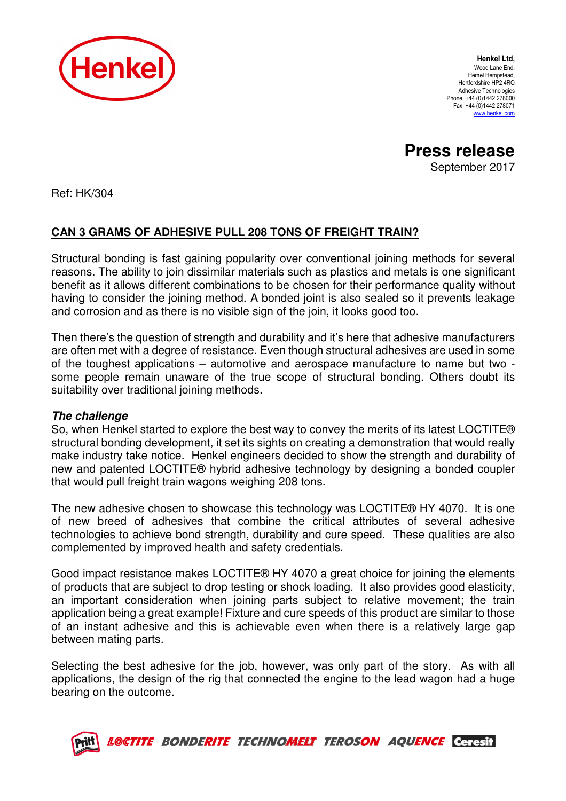

Henkel Ltd, Wood Lane End, Hemel Hempstead, Hertfordshire HP2 4RQ Adhesive Technologies Phone: +44 (0)1442 278000 Fax: +44 (0)1442 278071 www.henkel.com

**Press release** 

September 2017

Ref: HK/304

## **CAN 3 GRAMS OF ADHESIVE PULL 208 TONS OF FREIGHT TRAIN?**

Structural bonding is fast gaining popularity over conventional joining methods for several reasons. The ability to join dissimilar materials such as plastics and metals is one significant benefit as it allows different combinations to be chosen for their performance quality without having to consider the joining method. A bonded joint is also sealed so it prevents leakage and corrosion and as there is no visible sign of the join, it looks good too.

Then there's the question of strength and durability and it's here that adhesive manufacturers are often met with a degree of resistance. Even though structural adhesives are used in some of the toughest applications – automotive and aerospace manufacture to name but two some people remain unaware of the true scope of structural bonding. Others doubt its suitability over traditional joining methods.

## **The challenge**

So, when Henkel started to explore the best way to convey the merits of its latest LOCTITE® structural bonding development, it set its sights on creating a demonstration that would really make industry take notice. Henkel engineers decided to show the strength and durability of new and patented LOCTITE® hybrid adhesive technology by designing a bonded coupler that would pull freight train wagons weighing 208 tons.

The new adhesive chosen to showcase this technology was LOCTITE® HY 4070. It is one of new breed of adhesives that combine the critical attributes of several adhesive technologies to achieve bond strength, durability and cure speed. These qualities are also complemented by improved health and safety credentials.

Good impact resistance makes LOCTITE® HY 4070 a great choice for joining the elements of products that are subject to drop testing or shock loading. It also provides good elasticity, an important consideration when joining parts subject to relative movement; the train application being a great example! Fixture and cure speeds of this product are similar to those of an instant adhesive and this is achievable even when there is a relatively large gap between mating parts.

Selecting the best adhesive for the job, however, was only part of the story. As with all applications, the design of the rig that connected the engine to the lead wagon had a huge bearing on the outcome.



LOCTITE BONDERITE TECHNOMELT TEROSON AQUENCE Ceresit